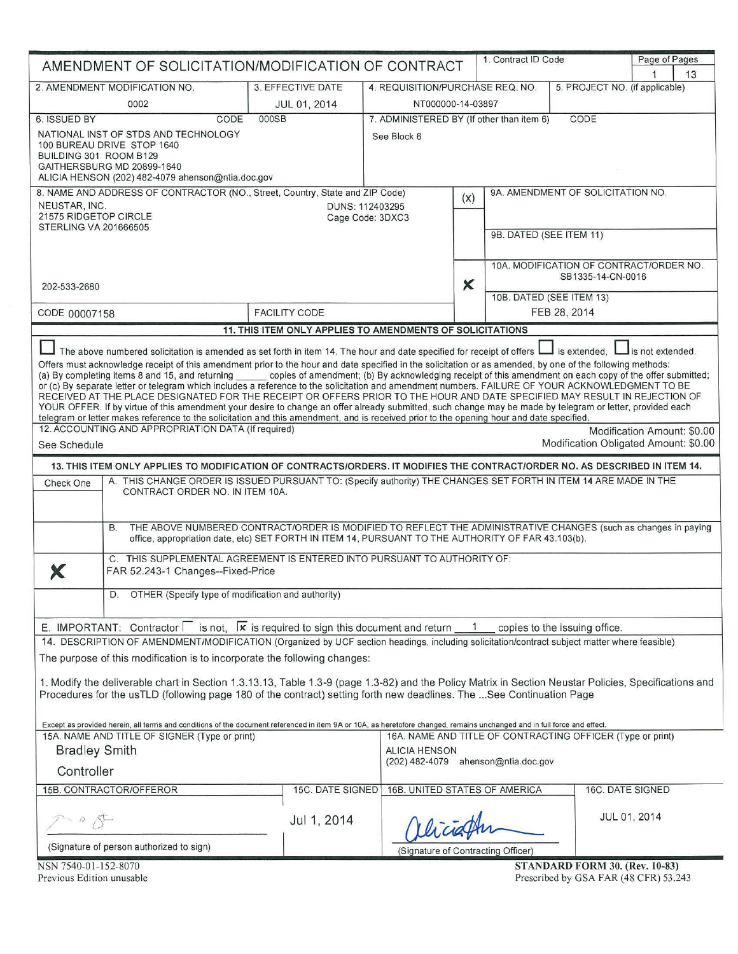| 1. Contract ID Code<br>Page of Pages<br>AMENDMENT OF SOLICITATION/MODIFICATION OF CONTRACT                                                                                                                                                                                                                                                                                                                                                                                                                                                                                                                                                                                                                                                                                                                                                                                                                                                                               |                                                           |                                                                    |                           |  |                                                                                          |                             |    |
|--------------------------------------------------------------------------------------------------------------------------------------------------------------------------------------------------------------------------------------------------------------------------------------------------------------------------------------------------------------------------------------------------------------------------------------------------------------------------------------------------------------------------------------------------------------------------------------------------------------------------------------------------------------------------------------------------------------------------------------------------------------------------------------------------------------------------------------------------------------------------------------------------------------------------------------------------------------------------|-----------------------------------------------------------|--------------------------------------------------------------------|---------------------------|--|------------------------------------------------------------------------------------------|-----------------------------|----|
| 2. AMENDMENT MODIFICATION NO.                                                                                                                                                                                                                                                                                                                                                                                                                                                                                                                                                                                                                                                                                                                                                                                                                                                                                                                                            | 3. EFFECTIVE DATE                                         | 4. REQUISITION/PURCHASE REQ. NO.<br>5. PROJECT NO. (if applicable) |                           |  |                                                                                          |                             | 13 |
| 0002                                                                                                                                                                                                                                                                                                                                                                                                                                                                                                                                                                                                                                                                                                                                                                                                                                                                                                                                                                     | JUL 01, 2014                                              |                                                                    | NT000000-14-03897         |  |                                                                                          |                             |    |
| 6. ISSUED BY<br>CODE                                                                                                                                                                                                                                                                                                                                                                                                                                                                                                                                                                                                                                                                                                                                                                                                                                                                                                                                                     | 000SB                                                     | 7. ADMINISTERED BY (If other than item 6)<br>CODE                  |                           |  |                                                                                          |                             |    |
| NATIONAL INST OF STDS AND TECHNOLOGY<br>100 BUREAU DRIVE STOP 1640<br>BUILDING 301 ROOM B129<br>GAITHERSBURG MD 20899-1640<br>ALICIA HENSON (202) 482-4079 ahenson@ntia.doc.gov                                                                                                                                                                                                                                                                                                                                                                                                                                                                                                                                                                                                                                                                                                                                                                                          |                                                           | See Block 6                                                        |                           |  |                                                                                          |                             |    |
| 8. NAME AND ADDRESS OF CONTRACTOR (NO., Street, Country, State and ZIP Code)                                                                                                                                                                                                                                                                                                                                                                                                                                                                                                                                                                                                                                                                                                                                                                                                                                                                                             |                                                           |                                                                    |                           |  | 9A. AMENDMENT OF SOLICITATION NO.                                                        |                             |    |
| NEUSTAR, INC.<br>21575 RIDGETOP CIRCLE<br><b>STERLING VA 201666505</b>                                                                                                                                                                                                                                                                                                                                                                                                                                                                                                                                                                                                                                                                                                                                                                                                                                                                                                   |                                                           | DUNS: 112403295<br>Cage Code: 3DXC3                                | (x)                       |  | 9B. DATED (SEE ITEM 11)                                                                  |                             |    |
| 202-533-2680                                                                                                                                                                                                                                                                                                                                                                                                                                                                                                                                                                                                                                                                                                                                                                                                                                                                                                                                                             |                                                           |                                                                    | $\boldsymbol{\mathsf{x}}$ |  | 10A. MODIFICATION OF CONTRACT/ORDER NO.<br>SB1335-14-CN-0016<br>10B. DATED (SEE ITEM 13) |                             |    |
| CODE 00007158                                                                                                                                                                                                                                                                                                                                                                                                                                                                                                                                                                                                                                                                                                                                                                                                                                                                                                                                                            | <b>FACILITY CODE</b>                                      |                                                                    |                           |  | FEB 28, 2014                                                                             |                             |    |
|                                                                                                                                                                                                                                                                                                                                                                                                                                                                                                                                                                                                                                                                                                                                                                                                                                                                                                                                                                          | 11. THIS ITEM ONLY APPLIES TO AMENDMENTS OF SOLICITATIONS |                                                                    |                           |  |                                                                                          |                             |    |
| Offers must acknowledge receipt of this amendment prior to the hour and date specified in the solicitation or as amended, by one of the following methods:<br>(a) By completing items 8 and 15, and returning copies of amendment; (b) By acknowledging receipt of this amendment on each copy of the offer submitted;<br>or (c) By separate letter or telegram which includes a reference to the solicitation and amendment numbers. FAILURE OF YOUR ACKNOWLEDGMENT TO BE<br>RECEIVED AT THE PLACE DESIGNATED FOR THE RECEIPT OR OFFERS PRIOR TO THE HOUR AND DATE SPECIFIED MAY RESULT IN REJECTION OF<br>YOUR OFFER. If by virtue of this amendment your desire to change an offer already submitted, such change may be made by telegram or letter, provided each<br>telegram or letter makes reference to the solicitation and this amendment, and is received prior to the opening hour and date specified.<br>12. ACCOUNTING AND APPROPRIATION DATA (If required) |                                                           |                                                                    |                           |  |                                                                                          | Modification Amount: \$0.00 |    |
| See Schedule                                                                                                                                                                                                                                                                                                                                                                                                                                                                                                                                                                                                                                                                                                                                                                                                                                                                                                                                                             |                                                           |                                                                    |                           |  | Modification Obligated Amount: \$0.00                                                    |                             |    |
| 13. THIS ITEM ONLY APPLIES TO MODIFICATION OF CONTRACTS/ORDERS. IT MODIFIES THE CONTRACT/ORDER NO. AS DESCRIBED IN ITEM 14.                                                                                                                                                                                                                                                                                                                                                                                                                                                                                                                                                                                                                                                                                                                                                                                                                                              |                                                           |                                                                    |                           |  |                                                                                          |                             |    |
| A. THIS CHANGE ORDER IS ISSUED PURSUANT TO: (Specify authority) THE CHANGES SET FORTH IN ITEM 14 ARE MADE IN THE<br>Check One<br>CONTRACT ORDER NO. IN ITEM 10A.                                                                                                                                                                                                                                                                                                                                                                                                                                                                                                                                                                                                                                                                                                                                                                                                         |                                                           |                                                                    |                           |  |                                                                                          |                             |    |
| THE ABOVE NUMBERED CONTRACT/ORDER IS MODIFIED TO REFLECT THE ADMINISTRATIVE CHANGES (such as changes in paying<br><b>B.</b><br>office, appropriation date, etc) SET FORTH IN ITEM 14, PURSUANT TO THE AUTHORITY OF FAR 43.103(b).                                                                                                                                                                                                                                                                                                                                                                                                                                                                                                                                                                                                                                                                                                                                        |                                                           |                                                                    |                           |  |                                                                                          |                             |    |
| C. THIS SUPPLEMENTAL AGREEMENT IS ENTERED INTO PURSUANT TO AUTHORITY OF:<br>FAR 52.243-1 Changes--Fixed-Price                                                                                                                                                                                                                                                                                                                                                                                                                                                                                                                                                                                                                                                                                                                                                                                                                                                            |                                                           |                                                                    |                           |  |                                                                                          |                             |    |
| OTHER (Specify type of modification and authority)<br>D.                                                                                                                                                                                                                                                                                                                                                                                                                                                                                                                                                                                                                                                                                                                                                                                                                                                                                                                 |                                                           |                                                                    |                           |  |                                                                                          |                             |    |
| E. IMPORTANT: Contractor $\Box$ is not, $\Box$ is required to sign this document and return $\Box$ 1                                                                                                                                                                                                                                                                                                                                                                                                                                                                                                                                                                                                                                                                                                                                                                                                                                                                     |                                                           |                                                                    |                           |  | copies to the issuing office.                                                            |                             |    |
| 14. DESCRIPTION OF AMENDMENT/MODIFICATION (Organized by UCF section headings, including solicitation/contract subject matter where feasible)<br>The purpose of this modification is to incorporate the following changes:                                                                                                                                                                                                                                                                                                                                                                                                                                                                                                                                                                                                                                                                                                                                                |                                                           |                                                                    |                           |  |                                                                                          |                             |    |
| 1. Modify the deliverable chart in Section 1.3.13.13, Table 1.3-9 (page 1.3-82) and the Policy Matrix in Section Neustar Policies, Specifications and<br>Procedures for the usTLD (following page 180 of the contract) setting forth new deadlines. The See Continuation Page                                                                                                                                                                                                                                                                                                                                                                                                                                                                                                                                                                                                                                                                                            |                                                           |                                                                    |                           |  |                                                                                          |                             |    |
| Except as provided herein, all terms and conditions of the document referenced in item 9A or 10A, as heretofore changed, remains unchanged and in full force and effect.<br>15A. NAME AND TITLE OF SIGNER (Type or print)                                                                                                                                                                                                                                                                                                                                                                                                                                                                                                                                                                                                                                                                                                                                                |                                                           | 16A. NAME AND TITLE OF CONTRACTING OFFICER (Type or print)         |                           |  |                                                                                          |                             |    |
| <b>Bradley Smith</b>                                                                                                                                                                                                                                                                                                                                                                                                                                                                                                                                                                                                                                                                                                                                                                                                                                                                                                                                                     |                                                           | <b>ALICIA HENSON</b>                                               |                           |  |                                                                                          |                             |    |
| Controller                                                                                                                                                                                                                                                                                                                                                                                                                                                                                                                                                                                                                                                                                                                                                                                                                                                                                                                                                               |                                                           | (202) 482-4079 ahenson@ntia.doc.gov                                |                           |  |                                                                                          |                             |    |
| 15B. CONTRACTOR/OFFEROR                                                                                                                                                                                                                                                                                                                                                                                                                                                                                                                                                                                                                                                                                                                                                                                                                                                                                                                                                  |                                                           | 15C. DATE SIGNED 16B. UNITED STATES OF AMERICA                     |                           |  |                                                                                          | 16C. DATE SIGNED            |    |
|                                                                                                                                                                                                                                                                                                                                                                                                                                                                                                                                                                                                                                                                                                                                                                                                                                                                                                                                                                          | Jul 1, 2014                                               |                                                                    |                           |  |                                                                                          | JUL 01, 2014                |    |
| (Signature of person authorized to sign)                                                                                                                                                                                                                                                                                                                                                                                                                                                                                                                                                                                                                                                                                                                                                                                                                                                                                                                                 |                                                           | (Signature of Contracting Officer)                                 |                           |  |                                                                                          |                             |    |
|                                                                                                                                                                                                                                                                                                                                                                                                                                                                                                                                                                                                                                                                                                                                                                                                                                                                                                                                                                          |                                                           |                                                                    |                           |  |                                                                                          |                             |    |

NSN 7540-01-152-8070 Previous Edition unusable STANDARD FORM 30. (Rev. 10-83) Prescribed by GSA FAR (48 CFR) 53.243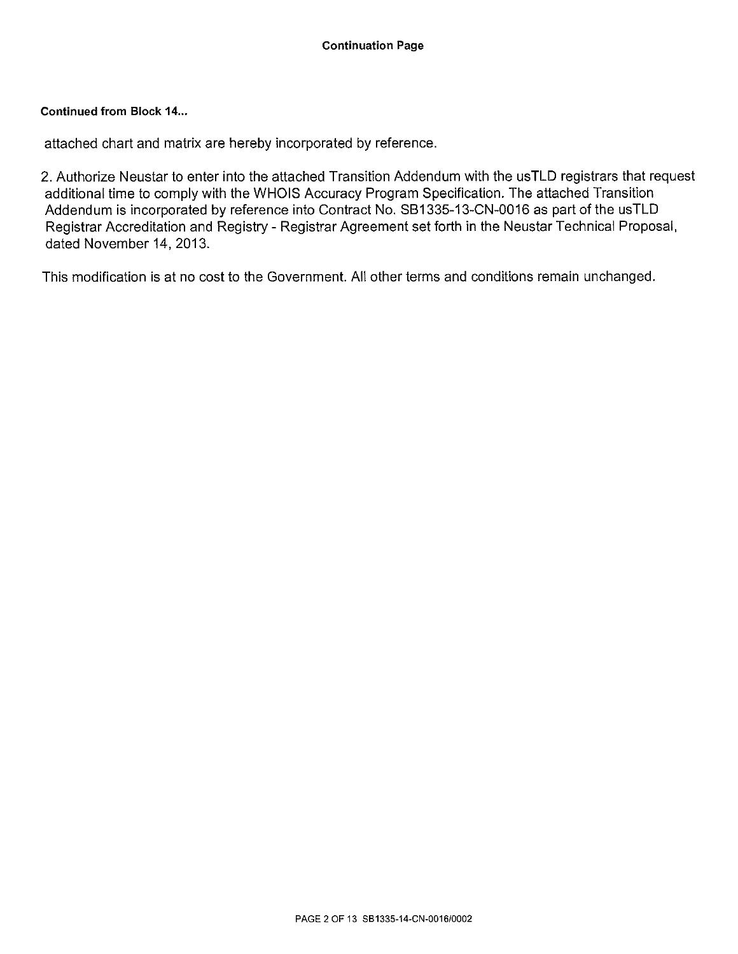# Continued from Block 14...

attached chart and matrix are hereby incorporated by reference.

2. Authorize Neustar to enter into the attached Transition Addendum with the usTLD registrars that request additional time to comply with the WHOIS Accuracy Program Specification. The attached Transition Addendum is incorporated by reference into Contract No. 881335-13-CN-0016 as part of the usTLD Registrar Accreditation and Registry- Registrar Agreement set forth in the Neustar Technical Proposal, dated November 14, 2013.

This modification is at no cost to the Government. All other terms and conditions remain unchanged.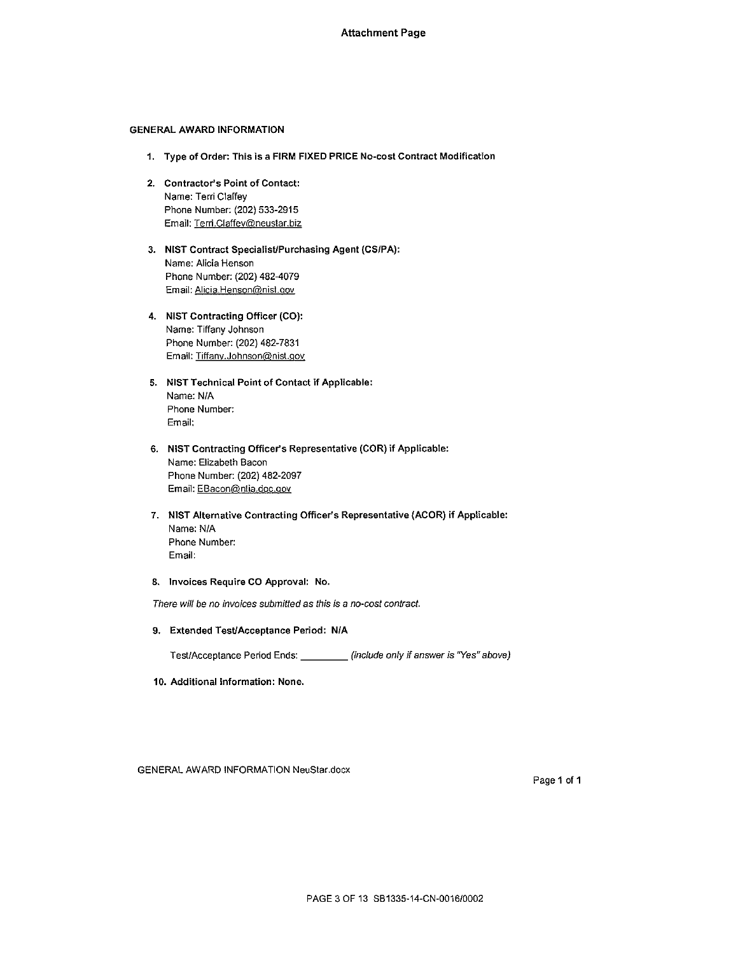### GENERAL AWARD INFORMATION

- 1. Type of Order: This is a FIRM FIXED PRICE No-cost Contract Modification
- 2. Contractor's Point of Contact: Name: Terri Claffey Phone Number: (202) 533-2915 Email: Terri.Ciaffey@neustar.biz
- 3. NIST Contract Specialist/Purchasing Agent (CS/PA): Name: Alicia Henson Phone Number: (202) 482-4079 Email: Alicia.Henson@nisl.gov
- 4. NIST Contracting Officer (CO): Name: Tiffany Johnson Phone Number: (202) 482-7831 Email: Tiffany.Johnson@nist.gov
- 5. NIST Technical Point of Contact if Applicable: Name: N/A Phone Number: Email:
- 6. NIST Contracting Officer's Representative (COR) if Applicable: Name: Elizabeth Bacon Phone Number: (202) 482-2097 Email: EBacon@ntia.doc.gov
- 7. NIST Alternative Contracting Officer's Representative {ACOR) if Applicable: Name: N/A Phone Number: Email:
- 8. Invoices Require CO Approval: No.

There will be no invoices submitted as this is a no-cost contract.

9. Extended TesUAcceptance Period: N/A

Test/Acceptance Period Ends: \_\_\_\_\_\_\_\_\_ (include only if answer is "Yes" above)

10. Additional Information: None.

GENERAL AWARD INFORMATION NeuStar.docx

Page 1 of 1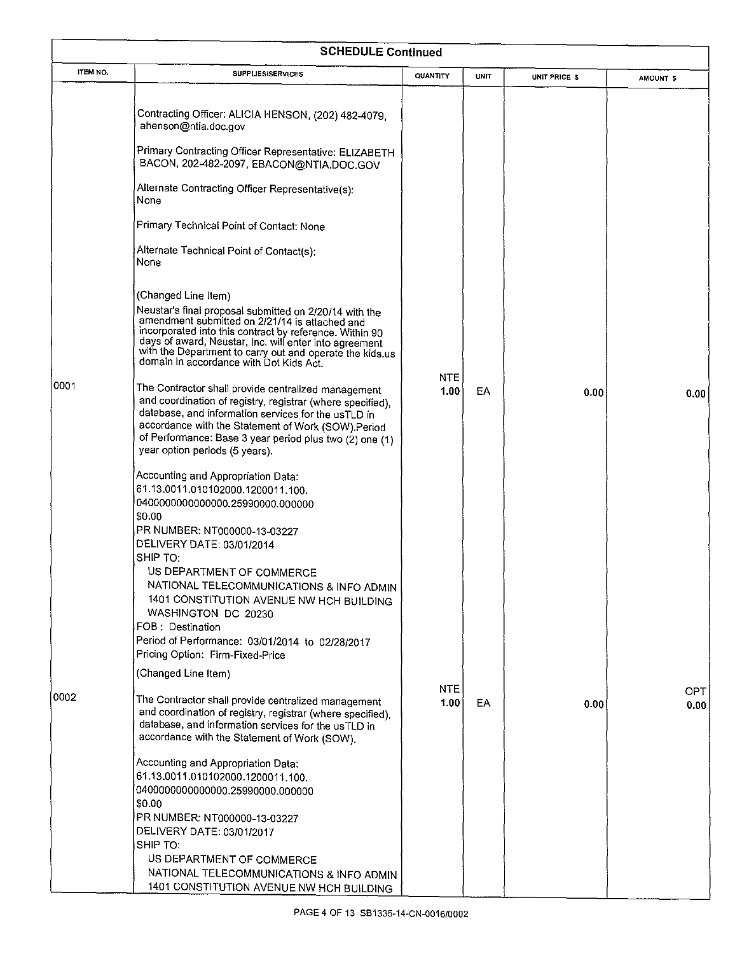|          | <b>SCHEDULE Continued</b>                                                                                                                                                                                                                                                                                                                                   |                 |             |               |                   |  |  |  |  |
|----------|-------------------------------------------------------------------------------------------------------------------------------------------------------------------------------------------------------------------------------------------------------------------------------------------------------------------------------------------------------------|-----------------|-------------|---------------|-------------------|--|--|--|--|
| ITEM NO. | <b>SUPPLIES/SERVICES</b>                                                                                                                                                                                                                                                                                                                                    | <b>QUANTITY</b> | <b>UNIT</b> | UNIT PRICE \$ | AMOUNT \$         |  |  |  |  |
|          | Contracting Officer: ALICIA HENSON, (202) 482-4079,<br>ahenson@ntia.doc.gov<br>Primary Contracting Officer Representative: ELIZABETH<br>BACON, 202-482-2097, EBACON@NTIA.DOC.GOV                                                                                                                                                                            |                 |             |               |                   |  |  |  |  |
|          | Alternate Contracting Officer Representative(s):<br>None                                                                                                                                                                                                                                                                                                    |                 |             |               |                   |  |  |  |  |
|          | Primary Technical Point of Contact: None                                                                                                                                                                                                                                                                                                                    |                 |             |               |                   |  |  |  |  |
|          | Alternate Technical Point of Contact(s):<br>None                                                                                                                                                                                                                                                                                                            |                 |             |               |                   |  |  |  |  |
|          | (Changed Line Item)<br>Neustar's final proposal submitted on 2/20/14 with the<br>amendment submitted on 2/21/14 is attached and<br>incorporated into this contract by reference. Within 90<br>days of award, Neustar, Inc. will enter into agreement<br>with the Department to carry out and operate the kids.us<br>domain in accordance with Dot Kids Act. |                 |             |               |                   |  |  |  |  |
| 10001    | The Contractor shall provide centralized management<br>and coordination of registry, registrar (where specified),<br>database, and information services for the usTLD in<br>accordance with the Statement of Work (SOW).Period<br>of Performance: Base 3 year period plus two (2) one (1)<br>year option periods (5 years).                                 | NTE<br>1.00     | EA          | 0.00          | 0.00 <sub>1</sub> |  |  |  |  |
|          | Accounting and Appropriation Data:<br>61.13.0011.010102000.1200011.100.<br>0400000000000000.25990000.000000<br>\$0.00<br>PR NUMBER: NT000000-13-03227<br>DELIVERY DATE: 03/01/2014                                                                                                                                                                          |                 |             |               |                   |  |  |  |  |
|          | SHIP TO:<br>US DEPARTMENT OF COMMERCE<br>NATIONAL TELECOMMUNICATIONS & INFO ADMIN<br>1401 CONSTITUTION AVENUE NW HCH BUILDING<br>WASHINGTON DC 20230<br>FOB: Destination<br>Period of Performance: 03/01/2014 to 02/28/2017<br>Pricing Option: Firm-Fixed-Price                                                                                             |                 |             |               |                   |  |  |  |  |
|          | (Changed Line Item)                                                                                                                                                                                                                                                                                                                                         |                 |             |               |                   |  |  |  |  |
| 0002     | The Contractor shall provide centralized management<br>and coordination of registry, registrar (where specified),<br>database, and information services for the usTLD in<br>accordance with the Statement of Work (SOW).                                                                                                                                    | NTE<br>1.00     | EA.         | 0.00          | OPT.<br>0.00      |  |  |  |  |
|          | Accounting and Appropriation Data:<br>61.13.0011.010102000.1200011.100.<br>0400000000000000.25990000.000000<br>\$0.00<br>PR NUMBER: NT000000-13-03227<br>DELIVERY DATE: 03/01/2017<br>SHIP TO:<br>US DEPARTMENT OF COMMERCE<br>NATIONAL TELECOMMUNICATIONS & INFO ADMIN<br>1401 CONSTITUTION AVENUE NW HCH BUILDING                                         |                 |             |               |                   |  |  |  |  |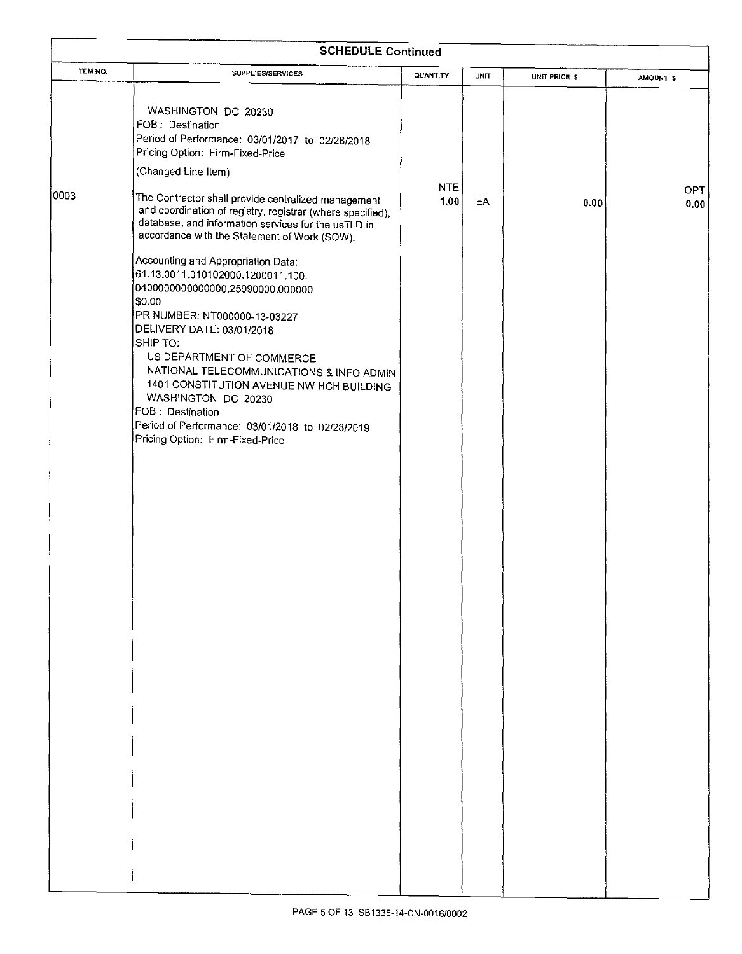|          | <b>SCHEDULE Continued</b>                                                                                                                                                                                                                                                                                                                                                                                                                             |             |             |               |                      |
|----------|-------------------------------------------------------------------------------------------------------------------------------------------------------------------------------------------------------------------------------------------------------------------------------------------------------------------------------------------------------------------------------------------------------------------------------------------------------|-------------|-------------|---------------|----------------------|
| ITEM NO. | <b>SUPPLIES/SERVICES</b>                                                                                                                                                                                                                                                                                                                                                                                                                              | QUANTITY    | <b>UNIT</b> | UNIT PRICE \$ | AMOUNT <sub>\$</sub> |
| 0003     | WASHINGTON DC 20230<br>FOB: Destination<br>Period of Performance: 03/01/2017 to 02/28/2018<br>Pricing Option: Firm-Fixed-Price<br>(Changed Line Item)<br>The Contractor shall provide centralized management<br>and coordination of registry, registrar (where specified),<br>database, and information services for the usTLD in<br>accordance with the Statement of Work (SOW).                                                                     | NTE<br>1.00 | EA          | 0.00          | OPT<br>0.00          |
|          | Accounting and Appropriation Data:<br>61.13.0011.010102000.1200011.100.<br>0400000000000000.25990000.000000<br>\$0.00<br>PR NUMBER: NT000000-13-03227<br>DELIVERY DATE: 03/01/2018<br>SHIP TO:<br>US DEPARTMENT OF COMMERCE<br>NATIONAL TELECOMMUNICATIONS & INFO ADMIN<br>1401 CONSTITUTION AVENUE NW HCH BUILDING<br>WASHINGTON DC 20230<br>FOB: Destination<br>Period of Performance: 03/01/2018 to 02/28/2019<br>Pricing Option: Firm-Fixed-Price |             |             |               |                      |
|          |                                                                                                                                                                                                                                                                                                                                                                                                                                                       |             |             |               |                      |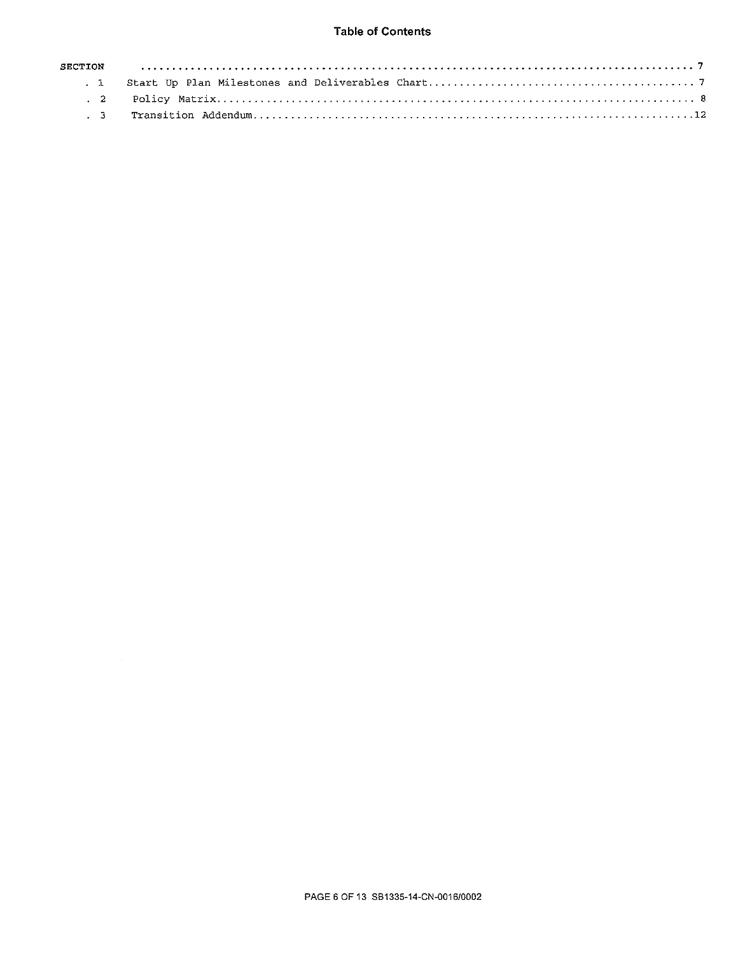## Table of Contents

| SECTION  |  |
|----------|--|
| $\sim$ 1 |  |
|          |  |
|          |  |

 $\sim$   $\sim$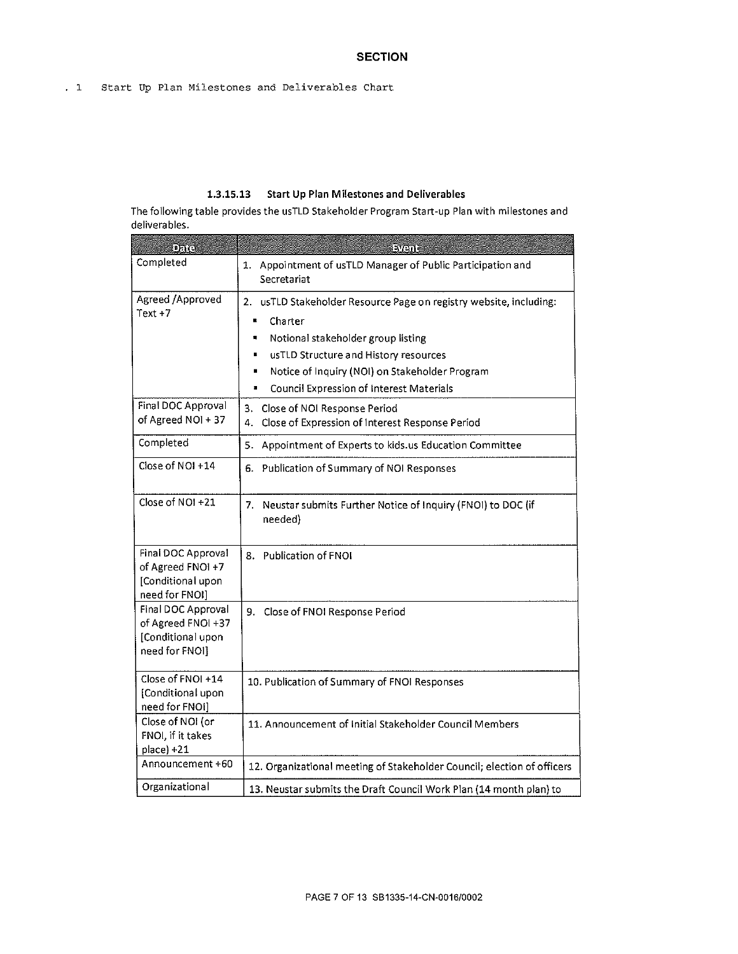### 1.3.15.13 Start Up Plan Milestones and Deliverables

The following table provides the usTLD Stakeholder Program Start-up Plan with milestones and deliverables.

| Date                                                                            | avent                                                                                                                                                                                                                                                                        |
|---------------------------------------------------------------------------------|------------------------------------------------------------------------------------------------------------------------------------------------------------------------------------------------------------------------------------------------------------------------------|
| Completed                                                                       | 1. Appointment of usTLD Manager of Public Participation and<br>Secretariat                                                                                                                                                                                                   |
| Agreed /Approved<br>Text $+7$                                                   | 2. usTLD Stakeholder Resource Page on registry website, including:<br>Charter<br>Notional stakeholder group listing<br>usTLD Structure and History resources<br>Notice of Inquiry (NOI) on Stakeholder Program<br>Council Expression of Interest Materials<br>$\blacksquare$ |
| Final DOC Approval<br>of Agreed NOI + 37                                        | 3. Close of NOI Response Period<br>Close of Expression of Interest Response Period<br>4.                                                                                                                                                                                     |
| Completed                                                                       | Appointment of Experts to kids.us Education Committee<br>5.                                                                                                                                                                                                                  |
| Close of NOI +14                                                                | 6. Publication of Summary of NOI Responses                                                                                                                                                                                                                                   |
| Close of NOI +21                                                                | 7. Neustar submits Further Notice of Inquiry (FNOI) to DOC (if<br>needed)                                                                                                                                                                                                    |
| Final DOC Approval<br>of Agreed FNOI +7<br>[Conditional upon<br>need for FNOI]  | 8. Publication of FNOI                                                                                                                                                                                                                                                       |
| Final DOC Approval<br>of Agreed FNOI +37<br>[Conditional upon<br>need for FNOI] | Close of FNOI Response Period<br>9.                                                                                                                                                                                                                                          |
| Close of FNOI +14<br>[Conditional upon<br>need for FNOI]                        | 10. Publication of Summary of FNOI Responses                                                                                                                                                                                                                                 |
| Close of NOI (or<br>FNOI, if it takes<br>place) +21                             | 11. Announcement of Initial Stakeholder Council Members                                                                                                                                                                                                                      |
| Announcement +60                                                                | 12. Organizational meeting of Stakeholder Council; election of officers                                                                                                                                                                                                      |
| Organizational                                                                  | 13. Neustar submits the Draft Council Work Plan (14 month plan) to                                                                                                                                                                                                           |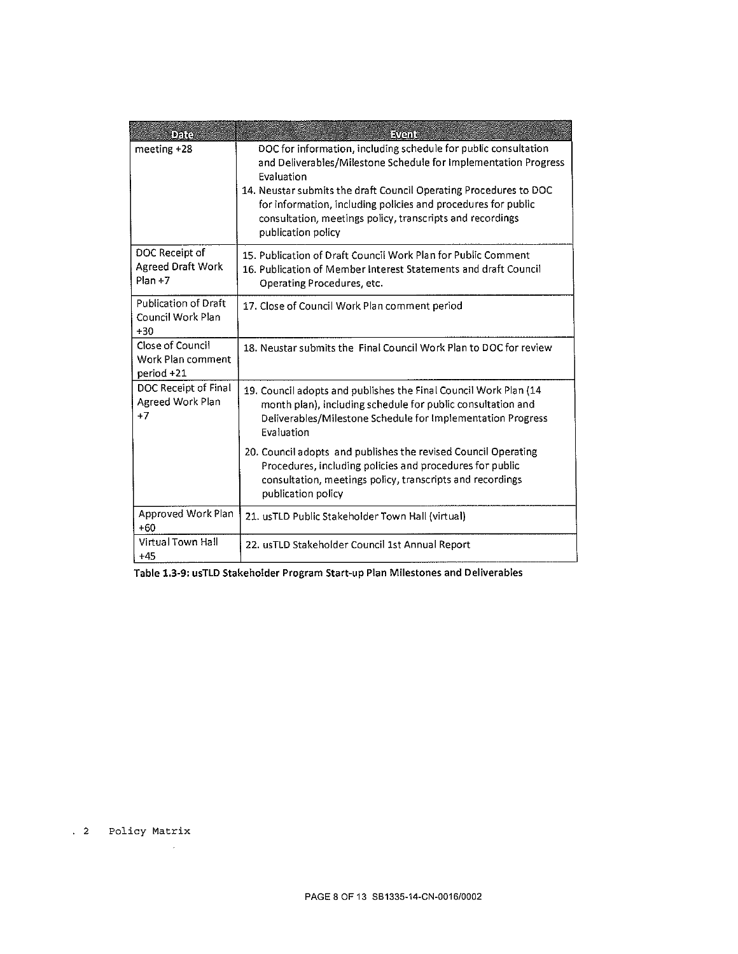| oara                                                      | <b>Event</b>                                                                                                                                                                                                                                                                                                                                                              |
|-----------------------------------------------------------|---------------------------------------------------------------------------------------------------------------------------------------------------------------------------------------------------------------------------------------------------------------------------------------------------------------------------------------------------------------------------|
| meeting +28                                               | DOC for information, including schedule for public consultation<br>and Deliverables/Milestone Schedule for Implementation Progress<br>Evaluation<br>14. Neustar submits the draft Council Operating Procedures to DOC<br>for information, including policies and procedures for public<br>consultation, meetings policy, transcripts and recordings<br>publication policy |
| DOC Receipt of<br><b>Agreed Draft Work</b><br>$Plan + 7$  | 15. Publication of Draft Council Work Plan for Public Comment<br>16. Publication of Member Interest Statements and draft Council<br>Operating Procedures, etc.                                                                                                                                                                                                            |
| <b>Publication of Draft</b><br>Council Work Plan<br>$+30$ | 17. Close of Council Work Plan comment period                                                                                                                                                                                                                                                                                                                             |
| Close of Council<br>Work Plan comment<br>period +21       | 18. Neustar submits the Final Council Work Plan to DOC for review                                                                                                                                                                                                                                                                                                         |
| DOC Receipt of Final<br>Agreed Work Plan<br>$+7$          | 19. Council adopts and publishes the Final Council Work Plan (14<br>month plan), including schedule for public consultation and<br>Deliverables/Milestone Schedule for Implementation Progress<br>Evaluation                                                                                                                                                              |
|                                                           | 20. Council adopts and publishes the revised Council Operating<br>Procedures, including policies and procedures for public<br>consultation, meetings policy, transcripts and recordings<br>publication policy                                                                                                                                                             |
| Approved Work Plan<br>$+60$                               | 21. usTLD Public Stakeholder Town Hall (virtual)                                                                                                                                                                                                                                                                                                                          |
| Virtual Town Hall<br>$+45$                                | 22. usTLD Stakeholder Council 1st Annual Report                                                                                                                                                                                                                                                                                                                           |

Table 1.3-9: usTLD Stakeholder Program Start-up Plan Milestones and Deliverables

. 2 Policy Matrix

 $\hat{\boldsymbol{r}}$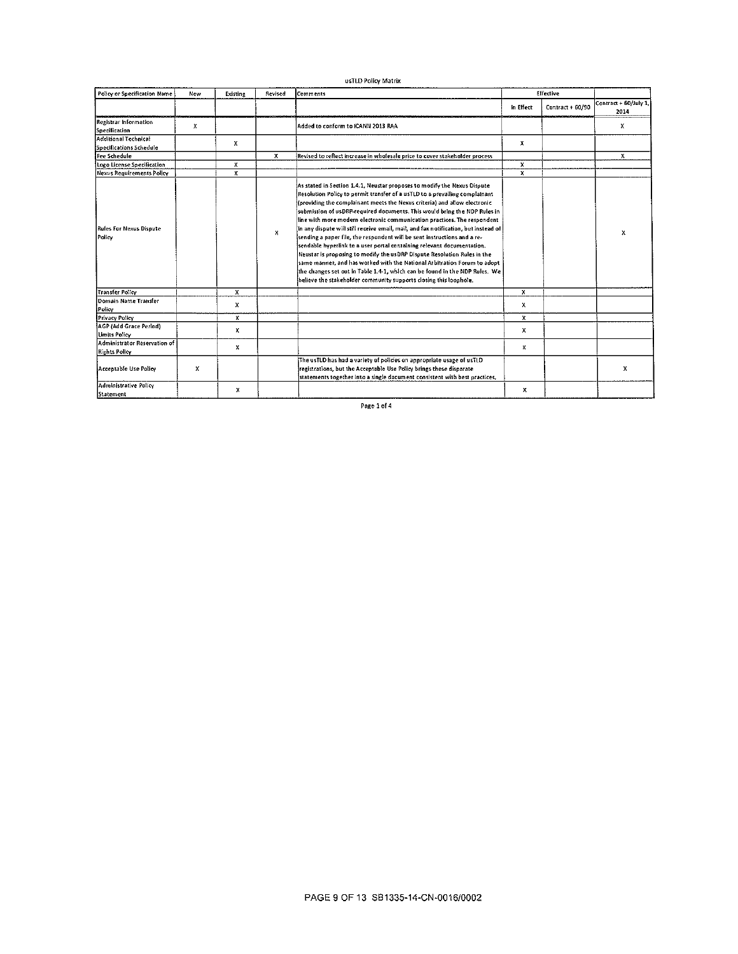|                                                      |            |          |         | usTLD Policy Matrix                                                                                                                                                                                                                                                                                                                                                                                                                                                                                                                                                                                                                                                                                                                                                                                                                                                                                                                                    |           |                  |                               |
|------------------------------------------------------|------------|----------|---------|--------------------------------------------------------------------------------------------------------------------------------------------------------------------------------------------------------------------------------------------------------------------------------------------------------------------------------------------------------------------------------------------------------------------------------------------------------------------------------------------------------------------------------------------------------------------------------------------------------------------------------------------------------------------------------------------------------------------------------------------------------------------------------------------------------------------------------------------------------------------------------------------------------------------------------------------------------|-----------|------------------|-------------------------------|
| Policy or Specification Name                         | <b>New</b> | Existing | Revised | Comments                                                                                                                                                                                                                                                                                                                                                                                                                                                                                                                                                                                                                                                                                                                                                                                                                                                                                                                                               |           | Effective        |                               |
|                                                      |            |          |         |                                                                                                                                                                                                                                                                                                                                                                                                                                                                                                                                                                                                                                                                                                                                                                                                                                                                                                                                                        | in Effect | Contract + 60/90 | Contract + 60/July 1,<br>2014 |
| Registrar Information<br>Specification               | x          |          |         | Added to conform to ICANN 2013 RAA                                                                                                                                                                                                                                                                                                                                                                                                                                                                                                                                                                                                                                                                                                                                                                                                                                                                                                                     |           |                  | x                             |
| Additional Technical                                 |            | x        |         |                                                                                                                                                                                                                                                                                                                                                                                                                                                                                                                                                                                                                                                                                                                                                                                                                                                                                                                                                        | х         |                  |                               |
| Specifications Schedule<br>Fee Schedule              |            |          | x       | Revised to reflect increase in wholesale price to cover stakeholder process                                                                                                                                                                                                                                                                                                                                                                                                                                                                                                                                                                                                                                                                                                                                                                                                                                                                            |           |                  | $\mathbf{x}$                  |
| Logo License Specification                           |            | x        |         |                                                                                                                                                                                                                                                                                                                                                                                                                                                                                                                                                                                                                                                                                                                                                                                                                                                                                                                                                        | x         |                  |                               |
| Nexus Requirements Policy                            |            | x        |         |                                                                                                                                                                                                                                                                                                                                                                                                                                                                                                                                                                                                                                                                                                                                                                                                                                                                                                                                                        | x         |                  |                               |
| <b>Rules For Nexus Dispute</b><br>Policy             |            |          | x       | As stated in Section 1.4.1, Neustar proposes to modify the Nexus Dispute<br>Resolution Policy to permit transfer of a usTLD to a prevailing complainant<br>(providing the complainant meets the Nexus criteria) and allow electronic<br>submission of usDRP-required documents. This would bring the NDP Rules in<br>line with more modern electronic communication practices. The respondent<br>in any dispute will still receive email, mail, and fax notification, but instead of<br>sending a paper file, the respondent will be sent instructions and a re-<br>sendable hyperlink to a user portal containing relevant documentation.<br>Neustar is proposing to modify the usDRP Dispute Resolution Rules in the<br>same manner, and has worked with the National Arbitration Forum to adopt<br>the changes set out in Table 1.4-1, which can be found in the NDP Rules. We<br>believe the stakeholder community supports closing this loophole. |           |                  | x                             |
| <b>Transfer Policy</b>                               |            | x        |         |                                                                                                                                                                                                                                                                                                                                                                                                                                                                                                                                                                                                                                                                                                                                                                                                                                                                                                                                                        | x         |                  |                               |
| Domain Name Transfer<br>Policy                       |            | x        |         |                                                                                                                                                                                                                                                                                                                                                                                                                                                                                                                                                                                                                                                                                                                                                                                                                                                                                                                                                        | x         |                  |                               |
| Privacy Policy                                       |            | x        |         |                                                                                                                                                                                                                                                                                                                                                                                                                                                                                                                                                                                                                                                                                                                                                                                                                                                                                                                                                        | x         |                  |                               |
| AGP (Add Grace Period)<br><b>Limits Policy</b>       |            | x        |         |                                                                                                                                                                                                                                                                                                                                                                                                                                                                                                                                                                                                                                                                                                                                                                                                                                                                                                                                                        | X         |                  |                               |
| Administrator Reservation of<br><b>Rights Polley</b> |            | x        |         |                                                                                                                                                                                                                                                                                                                                                                                                                                                                                                                                                                                                                                                                                                                                                                                                                                                                                                                                                        | x         |                  |                               |
| Acceptable Use Policy                                | x          |          |         | The usTLD has had a variety of policies on appropriate usage of usTLD<br>registrations, but the Acceptable Use Policy brings these disparate<br>statements together into a single document consistent with best practices,                                                                                                                                                                                                                                                                                                                                                                                                                                                                                                                                                                                                                                                                                                                             |           |                  | x                             |
| <b>Administrative Policy</b><br>Statement            |            | x        |         |                                                                                                                                                                                                                                                                                                                                                                                                                                                                                                                                                                                                                                                                                                                                                                                                                                                                                                                                                        | x         |                  |                               |

Page 1 of 4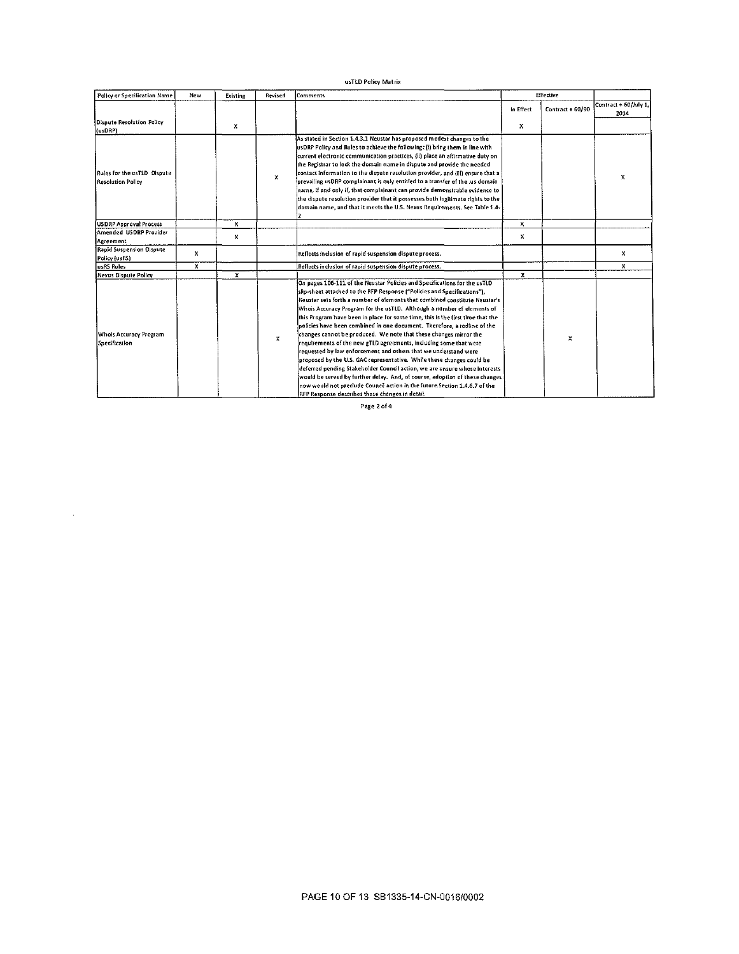### usTLD Policy Matrix

| Policy or Specification Name                     | New | Existing | Revised | Comments                                                                                                                                                                                                                                                                                                                                                                                                                                                                                                                                                                                                                                                                                                                                                                                                                                                                                                                                                                                                                                                        |           | Effective        |                               |
|--------------------------------------------------|-----|----------|---------|-----------------------------------------------------------------------------------------------------------------------------------------------------------------------------------------------------------------------------------------------------------------------------------------------------------------------------------------------------------------------------------------------------------------------------------------------------------------------------------------------------------------------------------------------------------------------------------------------------------------------------------------------------------------------------------------------------------------------------------------------------------------------------------------------------------------------------------------------------------------------------------------------------------------------------------------------------------------------------------------------------------------------------------------------------------------|-----------|------------------|-------------------------------|
|                                                  |     |          |         |                                                                                                                                                                                                                                                                                                                                                                                                                                                                                                                                                                                                                                                                                                                                                                                                                                                                                                                                                                                                                                                                 | In Effect | Contract + 60/90 | Contract + 60/July 1.<br>2014 |
| <b>Dispute Resolution Policy</b><br>(usDRP)      |     | x        |         |                                                                                                                                                                                                                                                                                                                                                                                                                                                                                                                                                                                                                                                                                                                                                                                                                                                                                                                                                                                                                                                                 | x         |                  |                               |
| Rufes for the usTLD Dispute<br>Resolution Policy |     |          | x       | As stated in Section 1.4.3.1 Neustar has proposed modest changes to the<br>usDRP Policy and Rules to achieve the following: (i) bring them in line with<br>current electronic communication practices, {ii) place an affirmative duty on<br>the Registrar to lock the domain name in dispute and provide the needed<br>contact information to the dispute resolution provider, and (iii) ensure that a<br>prevailing usDRP complainant is only entitled to a transfer of the .us domain<br>name, if and only if, that complainant can provide demonstrable evidence to<br>the dispute resolution provider that it possesses both legitimate rights to the<br>domain name, and that it meets the U.S. Nexus Requirements. See Table 1.4-                                                                                                                                                                                                                                                                                                                         |           |                  | х                             |
| USDRP Approval Process                           |     | Ϊx.      |         |                                                                                                                                                                                                                                                                                                                                                                                                                                                                                                                                                                                                                                                                                                                                                                                                                                                                                                                                                                                                                                                                 | x         |                  |                               |
| Amended USDRP Provider<br>Agreement              |     | x        |         |                                                                                                                                                                                                                                                                                                                                                                                                                                                                                                                                                                                                                                                                                                                                                                                                                                                                                                                                                                                                                                                                 | x         |                  |                               |
| <b>Rapid Suspension Dispute</b><br>Policy (usRS) | x   |          |         | Reflects inclusion of rapid suspension dispute process.                                                                                                                                                                                                                                                                                                                                                                                                                                                                                                                                                                                                                                                                                                                                                                                                                                                                                                                                                                                                         |           |                  | x                             |
| LisRS Rules                                      | х   |          |         | Reflects inclusion of rapid suspension dispute process.                                                                                                                                                                                                                                                                                                                                                                                                                                                                                                                                                                                                                                                                                                                                                                                                                                                                                                                                                                                                         |           |                  | x                             |
| Nexus Dispute Policy                             |     | x        |         |                                                                                                                                                                                                                                                                                                                                                                                                                                                                                                                                                                                                                                                                                                                                                                                                                                                                                                                                                                                                                                                                 | х         |                  |                               |
| Whois Accuracy Program<br>Specification          |     |          | x       | On pages 106-111 of the Neustar Policies and Specifications for the usTLD<br>slip-sheet attached to the RFP Response ("Policies and Specifications"),<br>Neustar sets forth a number of elements that combined constitute Neustar's<br>Whois Accuracy Program for the usTLD. Although a number of elements of<br>this Program have been in place for some time, this is the first time that the<br>policies have been combined in one document. Therefore, a redline of the<br>changes cannot be produced. We note that these changes mirror the<br>requirements of the new gTLD agreements, including some that were<br>requested by law enforcement and others that we understand were<br>proposed by the U.S. GAC representative. While these changes could be<br>deferred pending Stakeholder Council action, we are unsure whose interests<br>would be served by further delay. And, of course, adoption of these changes<br>now would not preclude Council action in the future.Section 1.4.6.7 of the<br>RFP Response describes these changes in detail. |           | x                |                               |

Page 2 of 4

 $\bar{\beta}$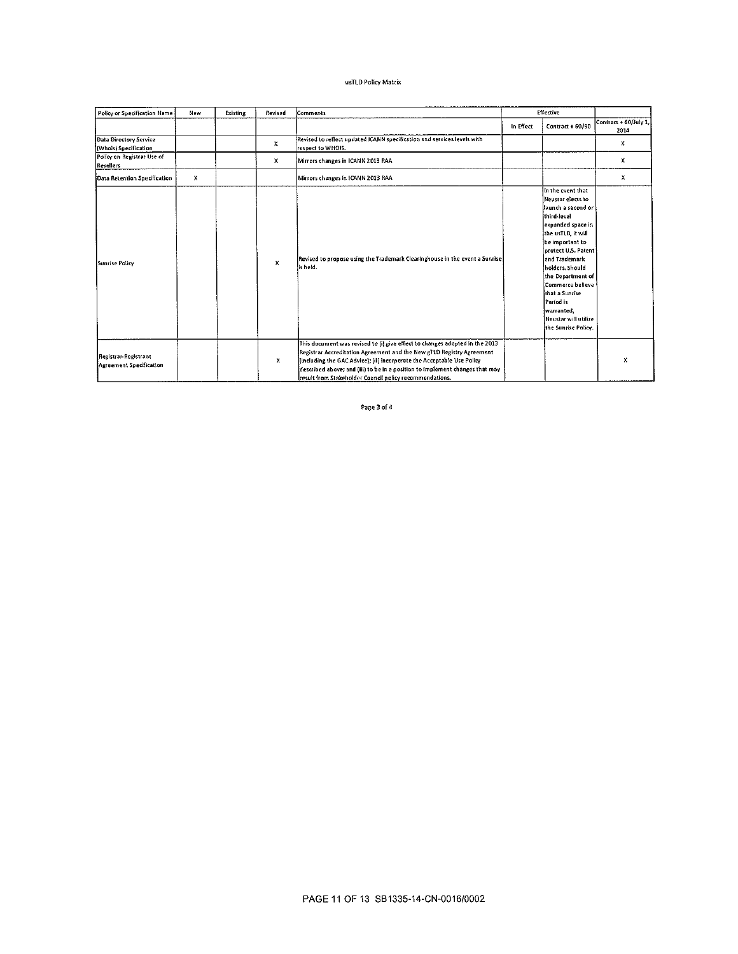#### usTLD Policy Matrix

| Policy or Specification Name                    | New         | Existing | Revised | Comments                                                                                                                                                                                                                                                                                                                                                                  |           | Effective                                                                                                                                                                                                                                                                                                                                  |                               |
|-------------------------------------------------|-------------|----------|---------|---------------------------------------------------------------------------------------------------------------------------------------------------------------------------------------------------------------------------------------------------------------------------------------------------------------------------------------------------------------------------|-----------|--------------------------------------------------------------------------------------------------------------------------------------------------------------------------------------------------------------------------------------------------------------------------------------------------------------------------------------------|-------------------------------|
|                                                 |             |          |         |                                                                                                                                                                                                                                                                                                                                                                           | In Effect | Contract + 60/90                                                                                                                                                                                                                                                                                                                           | Contract + 60/July 1,<br>2014 |
| Data Directory Service<br>(Whols) Specification |             |          | x       | Revised to reflect updated ICANN specification and services levels with<br>respect to WHOIS.                                                                                                                                                                                                                                                                              |           |                                                                                                                                                                                                                                                                                                                                            | x                             |
| Policy on Registrar Use of<br><b>Resellers</b>  |             |          | x       | Mirrors changes in ICANN 2013 RAA                                                                                                                                                                                                                                                                                                                                         |           |                                                                                                                                                                                                                                                                                                                                            | x                             |
| Data Retention Specification                    | $\mathbf x$ |          |         | Mirrors changes in ICANN 2013 RAA                                                                                                                                                                                                                                                                                                                                         |           |                                                                                                                                                                                                                                                                                                                                            | x                             |
| Sunrise Policy                                  |             |          | x       | Revised to propose using the Trademark Clearinghouse in the event a Sunrise<br>is held.                                                                                                                                                                                                                                                                                   |           | in the event that<br>Neustar elects to<br>launch a second or<br>third-level<br>expanded space in<br>the ust LD, it will<br>be important to<br>protect U.S. Patent<br>and Trademark<br>holders. Should<br>the Department of<br>Commerce believe<br>that a Sunrise<br>Period is<br>warranted.<br>Neustar will utilize<br>the Sunrise Policy. |                               |
| Registrar-Registrant<br>Agreement Specification |             |          | x       | This document was revised to fil give effect to changes adopted in the 2013<br>Registrar Accreditation Agreement and the New gTLD Registry Agreement<br>(including the GAC Advice); (ii) incorporate the Acceptable Use Policy<br>described above; and (iii) to be in a position to implement changes that may<br>result from Stakeholder Council policy recommendations. |           |                                                                                                                                                                                                                                                                                                                                            | x                             |

Page 3 of 4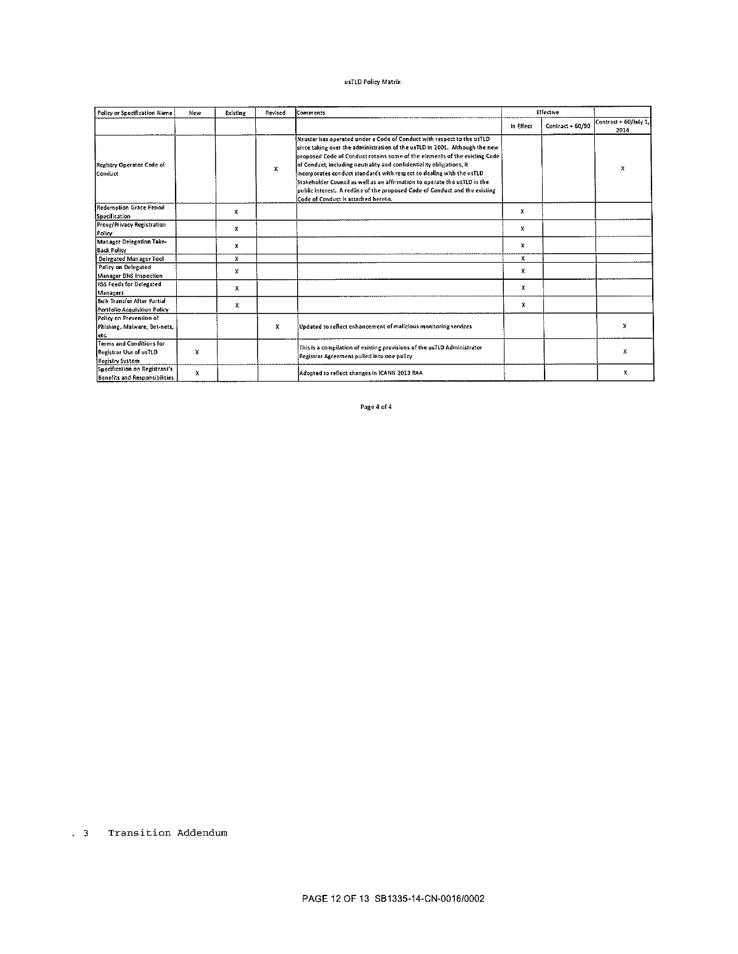#### usTLD Policy Matrix

| Policy or Specification Name                                          | New | Existing | Revised | Comments                                                                                                                                                                                                                                                                                                                                                                                                                                                                                                                                                                                |           | Effective          |                               |
|-----------------------------------------------------------------------|-----|----------|---------|-----------------------------------------------------------------------------------------------------------------------------------------------------------------------------------------------------------------------------------------------------------------------------------------------------------------------------------------------------------------------------------------------------------------------------------------------------------------------------------------------------------------------------------------------------------------------------------------|-----------|--------------------|-------------------------------|
|                                                                       |     |          |         |                                                                                                                                                                                                                                                                                                                                                                                                                                                                                                                                                                                         | In Effect | $Contract + 60/90$ | Contract + 60/July 1,<br>2014 |
| Registry Operator Code of<br> Conduct                                 |     |          | x       | Neustar has operated under a Code of Conduct with respect to the usTLD<br>since taking over the administration of the usTLD in 2001. Although the new<br>proposed Code of Conduct retains some of the elements of the existing Code<br>of Conduct, including neutrality and confidentiality obligations, it<br>incorporates conduct standards with respect to dealing with the usTLD<br>Stakeholder Council as well as an affirmation to operate the usTLD in the<br>public interest. A redline of the proposed Code of Conduct and the existing<br>Code of Conduct is attached hereto. |           |                    | x                             |
| <b>Redemption Grace Period</b><br>Specification                       |     | х        |         |                                                                                                                                                                                                                                                                                                                                                                                                                                                                                                                                                                                         | x         |                    |                               |
| Proxy/Privacy Registration<br>Policy                                  |     | x        |         |                                                                                                                                                                                                                                                                                                                                                                                                                                                                                                                                                                                         | x         |                    |                               |
| Manager Delegation Take-<br>Back Policy                               |     | х        |         |                                                                                                                                                                                                                                                                                                                                                                                                                                                                                                                                                                                         | x         |                    |                               |
| Delegated Manager Tool                                                |     | x        |         |                                                                                                                                                                                                                                                                                                                                                                                                                                                                                                                                                                                         | x         |                    |                               |
| Policy on Delegated<br>Manager DNS Inspection                         |     | X        |         |                                                                                                                                                                                                                                                                                                                                                                                                                                                                                                                                                                                         | x         |                    |                               |
| <b>RSS Feeds for Delegated</b><br>Managers                            |     | x        |         |                                                                                                                                                                                                                                                                                                                                                                                                                                                                                                                                                                                         | x         |                    |                               |
| Buik Transfer After Partial<br>Portfolio Acquisition Policy           |     | x        |         |                                                                                                                                                                                                                                                                                                                                                                                                                                                                                                                                                                                         | x         |                    |                               |
| Policy on Prevention of<br>Phishing, Malware, Bot-nets,<br>etc.       |     |          | x       | Undated to reflect enhancement of malicious monitoring services                                                                                                                                                                                                                                                                                                                                                                                                                                                                                                                         |           |                    | x                             |
| Terms and Conditions for<br>Registrar Use of usTLD<br>Registry System | x   |          |         | This is a compilation of existing provisions of the usTLD Administrator<br>Registrar Agreement pulled into one policy                                                                                                                                                                                                                                                                                                                                                                                                                                                                   |           |                    | x                             |
| Specification on Registrant's<br>Benefits and Responsibilities        | x   |          |         | Adopted to reflect changes in ICANN 2013 RAA                                                                                                                                                                                                                                                                                                                                                                                                                                                                                                                                            |           |                    | х                             |

Page 4 of 4

. 3 Transition Addendum